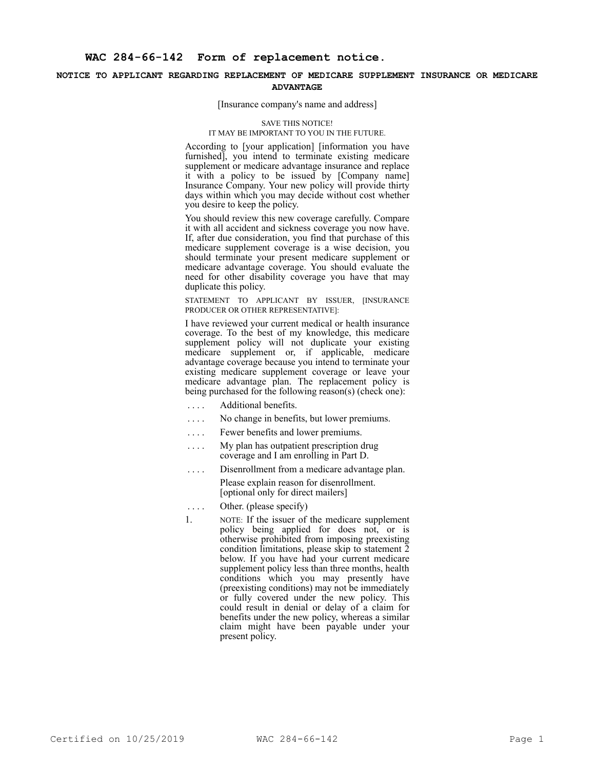## **NOTICE TO APPLICANT REGARDING REPLACEMENT OF MEDICARE SUPPLEMENT INSURANCE OR MEDICARE ADVANTAGE**

## [Insurance company's name and address]

## SAVE THIS NOTICE!

## IT MAY BE IMPORTANT TO YOU IN THE FUTURE.

According to [your application] [information you have furnished], you intend to terminate existing medicare supplement or medicare advantage insurance and replace it with a policy to be issued by [Company name] Insurance Company. Your new policy will provide thirty days within which you may decide without cost whether you desire to keep the policy.

You should review this new coverage carefully. Compare it with all accident and sickness coverage you now have. If, after due consideration, you find that purchase of this medicare supplement coverage is a wise decision, you should terminate your present medicare supplement or medicare advantage coverage. You should evaluate the need for other disability coverage you have that may duplicate this policy.

STATEMENT TO APPLICANT BY ISSUER, [INSURANCE PRODUCER OR OTHER REPRESENTATIVE]:

I have reviewed your current medical or health insurance coverage. To the best of my knowledge, this medicare supplement policy will not duplicate your existing medicare supplement or, if applicable, medicare advantage coverage because you intend to terminate your existing medicare supplement coverage or leave your medicare advantage plan. The replacement policy is being purchased for the following reason(s) (check one):

- .... Additional benefits.
- . . . . No change in benefits, but lower premiums.
- . . . . Fewer benefits and lower premiums.
- .... My plan has outpatient prescription drug coverage and I am enrolling in Part D.
- .... Disenrollment from a medicare advantage plan. Please explain reason for disenrollment. [optional only for direct mailers]
- .... Other. (please specify)
- 1. NOTE: If the issuer of the medicare supplement policy being applied for does not, or is otherwise prohibited from imposing preexisting condition limitations, please skip to statement 2 below. If you have had your current medicare supplement policy less than three months, health conditions which you may presently have (preexisting conditions) may not be immediately or fully covered under the new policy. This could result in denial or delay of a claim for benefits under the new policy, whereas a similar claim might have been payable under your present policy.